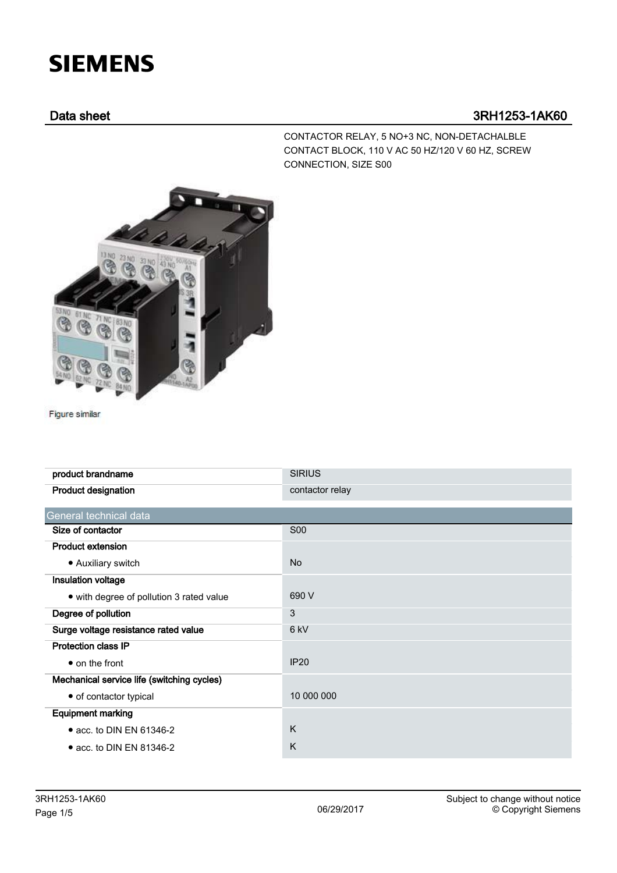## **SIEMENS**

## Data sheet 3RH1253-1AK60

CONTACTOR RELAY, 5 NO+3 NC, NON-DETACHALBLE CONTACT BLOCK, 110 V AC 50 HZ/120 V 60 HZ, SCREW CONNECTION, SIZE S00



Figure similar

| product brandname                          | <b>SIRIUS</b>   |
|--------------------------------------------|-----------------|
| Product designation                        | contactor relay |
| General technical data                     |                 |
| Size of contactor                          | <b>S00</b>      |
| <b>Product extension</b>                   |                 |
| • Auxiliary switch                         | <b>No</b>       |
| Insulation voltage                         |                 |
| • with degree of pollution 3 rated value   | 690 V           |
| Degree of pollution                        | 3               |
| Surge voltage resistance rated value       | 6 <sub>kV</sub> |
| <b>Protection class IP</b>                 |                 |
| $\bullet$ on the front                     | <b>IP20</b>     |
| Mechanical service life (switching cycles) |                 |
| • of contactor typical                     | 10 000 000      |
| <b>Equipment marking</b>                   |                 |
| $\bullet$ acc. to DIN EN 61346-2           | K               |
| $\bullet$ acc. to DIN EN 81346-2           | K               |
|                                            |                 |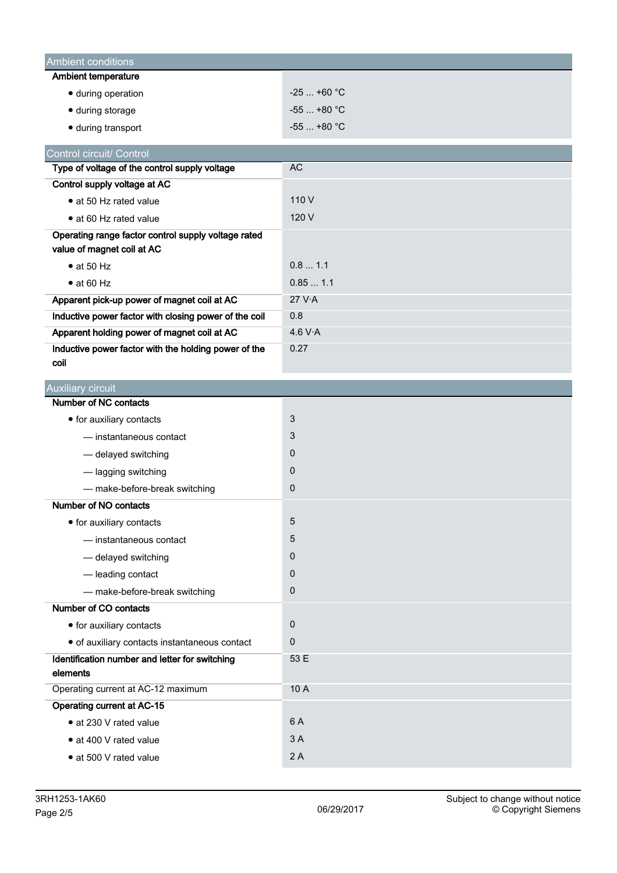| <b>Ambient conditions</b>                                                         |              |
|-----------------------------------------------------------------------------------|--------------|
| <b>Ambient temperature</b>                                                        |              |
| · during operation                                                                | $-25+60$ °C  |
| · during storage                                                                  | $-55$ +80 °C |
| • during transport                                                                | $-55$ +80 °C |
| Control circuit/ Control                                                          |              |
| Type of voltage of the control supply voltage                                     | <b>AC</b>    |
| Control supply voltage at AC                                                      |              |
| • at 50 Hz rated value                                                            | 110 V        |
| • at 60 Hz rated value                                                            | 120 V        |
| Operating range factor control supply voltage rated<br>value of magnet coil at AC |              |
| $\bullet$ at 50 Hz                                                                | 0.81.1       |
| $\bullet$ at 60 Hz                                                                | 0.851.1      |
| Apparent pick-up power of magnet coil at AC                                       | 27 V·A       |
| Inductive power factor with closing power of the coil                             | 0.8          |
| Apparent holding power of magnet coil at AC                                       | 4.6 $V·A$    |
| Inductive power factor with the holding power of the<br>coil                      | 0.27         |
| Auxiliary circuit                                                                 |              |
| Number of NC contacts                                                             |              |
| • for auxiliary contacts                                                          | 3            |
| - instantaneous contact                                                           | 3            |
| - delayed switching                                                               | $\mathbf{0}$ |
| -lagging switching                                                                | $\mathbf 0$  |
| - make-before-break switching                                                     | $\mathbf 0$  |
| Number of NO contacts                                                             |              |
| • for auxiliary contacts                                                          | 5            |
| - instantaneous contact                                                           | 5            |
| - delayed switching                                                               | 0            |
| - leading contact                                                                 | 0            |
| - make-before-break switching                                                     | $\mathbf 0$  |
| Number of CO contacts                                                             |              |
| • for auxiliary contacts                                                          | $\mathbf 0$  |
| · of auxiliary contacts instantaneous contact                                     | $\mathbf 0$  |
| Identification number and letter for switching<br>elements                        | 53 E         |
| Operating current at AC-12 maximum                                                | 10 A         |
| <b>Operating current at AC-15</b>                                                 |              |
| • at 230 V rated value                                                            | 6 A          |
| • at 400 V rated value                                                            | 3A           |
| · at 500 V rated value                                                            | 2A           |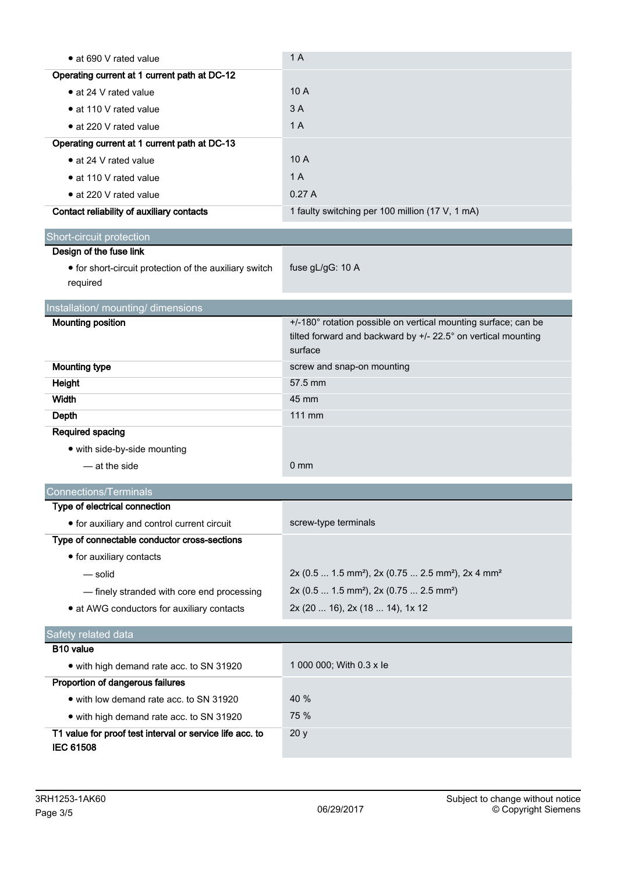| • at 690 V rated value                                                       | 1A                                                                                    |  |  |
|------------------------------------------------------------------------------|---------------------------------------------------------------------------------------|--|--|
| Operating current at 1 current path at DC-12                                 |                                                                                       |  |  |
| • at 24 V rated value                                                        | 10A                                                                                   |  |  |
| • at 110 V rated value                                                       | 3A                                                                                    |  |  |
| • at 220 V rated value                                                       | 1A                                                                                    |  |  |
| Operating current at 1 current path at DC-13                                 |                                                                                       |  |  |
| • at 24 V rated value                                                        | 10 A                                                                                  |  |  |
| • at 110 V rated value                                                       | 1A                                                                                    |  |  |
| • at 220 V rated value                                                       | 0.27A                                                                                 |  |  |
| Contact reliability of auxiliary contacts                                    | 1 faulty switching per 100 million (17 V, 1 mA)                                       |  |  |
| Short-circuit protection                                                     |                                                                                       |  |  |
| Design of the fuse link                                                      |                                                                                       |  |  |
| • for short-circuit protection of the auxiliary switch<br>required           | fuse gL/gG: 10 A                                                                      |  |  |
| Installation/ mounting/ dimensions                                           |                                                                                       |  |  |
| <b>Mounting position</b>                                                     | +/-180° rotation possible on vertical mounting surface; can be                        |  |  |
|                                                                              | tilted forward and backward by +/- 22.5° on vertical mounting                         |  |  |
|                                                                              | surface                                                                               |  |  |
| <b>Mounting type</b>                                                         | screw and snap-on mounting                                                            |  |  |
| Height                                                                       | 57.5 mm                                                                               |  |  |
| Width                                                                        | 45 mm                                                                                 |  |  |
| Depth                                                                        | 111 mm                                                                                |  |  |
| Required spacing                                                             |                                                                                       |  |  |
| • with side-by-side mounting                                                 |                                                                                       |  |  |
| - at the side                                                                | 0 <sub>mm</sub>                                                                       |  |  |
| <b>Connections/Terminals</b>                                                 |                                                                                       |  |  |
| Type of electrical connection                                                |                                                                                       |  |  |
| • for auxiliary and control current circuit                                  | screw-type terminals                                                                  |  |  |
| Type of connectable conductor cross-sections                                 |                                                                                       |  |  |
| • for auxiliary contacts                                                     |                                                                                       |  |  |
| — solid                                                                      | 2x (0.5  1.5 mm <sup>2</sup> ), 2x (0.75  2.5 mm <sup>2</sup> ), 2x 4 mm <sup>2</sup> |  |  |
| - finely stranded with core end processing                                   | 2x (0.5  1.5 mm <sup>2</sup> ), 2x (0.75  2.5 mm <sup>2</sup> )                       |  |  |
| • at AWG conductors for auxiliary contacts                                   | 2x (20  16), 2x (18  14), 1x 12                                                       |  |  |
| Safety related data                                                          |                                                                                       |  |  |
| B10 value                                                                    |                                                                                       |  |  |
| • with high demand rate acc. to SN 31920                                     | 1 000 000; With 0.3 x le                                                              |  |  |
| Proportion of dangerous failures                                             |                                                                                       |  |  |
| • with low demand rate acc. to SN 31920                                      | 40 %                                                                                  |  |  |
| • with high demand rate acc. to SN 31920                                     | 75 %                                                                                  |  |  |
| T1 value for proof test interval or service life acc. to<br><b>IEC 61508</b> | 20y                                                                                   |  |  |
|                                                                              |                                                                                       |  |  |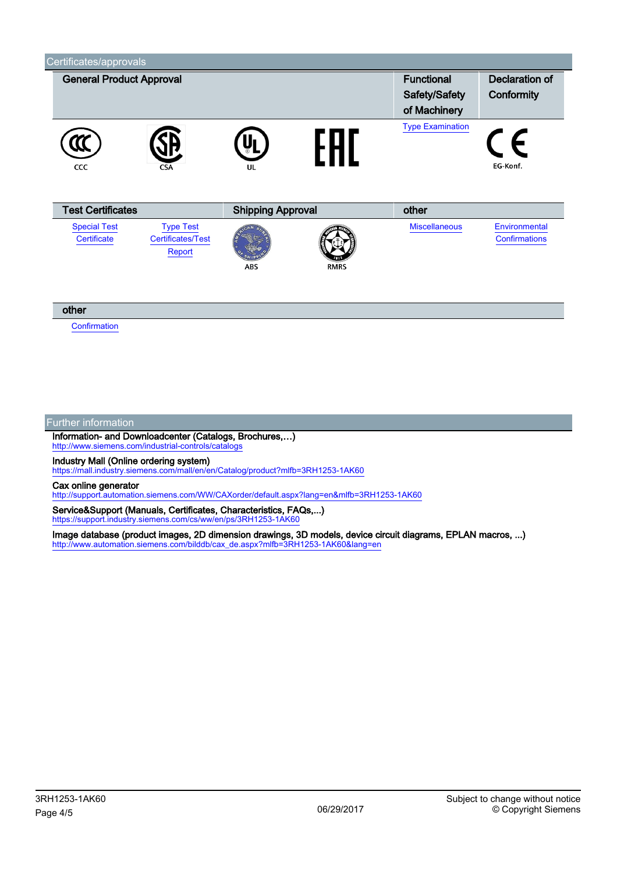| <b>General Product Approval</b>    |                                                        | <b>Functional</b><br>Safety/Safety<br>of Machinery | <b>Declaration of</b><br>Conformity |                         |                                |
|------------------------------------|--------------------------------------------------------|----------------------------------------------------|-------------------------------------|-------------------------|--------------------------------|
| CCC                                | <b>CSA</b>                                             | UL                                                 |                                     | <b>Type Examination</b> | EG-Konf.                       |
| <b>Test Certificates</b>           |                                                        | <b>Shipping Approval</b>                           |                                     | other                   |                                |
| <b>Special Test</b><br>Certificate | <b>Type Test</b><br><b>Certificates/Test</b><br>Report | ABS                                                | <b>RMRS</b>                         | <b>Miscellaneous</b>    | Environmental<br>Confirmations |

**[Confirmation](https://support.industry.siemens.com/cs/WW/en/ps/3RH1253-1AK60/Certificate?ct=447&ci=454&cao=553)** 

## Further information

Information- and Downloadcenter (Catalogs, Brochures,…) <http://www.siemens.com/industrial-controls/catalogs>

Industry Mall (Online ordering system)

<https://mall.industry.siemens.com/mall/en/en/Catalog/product?mlfb=3RH1253-1AK60>

Cax online generator

<http://support.automation.siemens.com/WW/CAXorder/default.aspx?lang=en&mlfb=3RH1253-1AK60>

Service&Support (Manuals, Certificates, Characteristics, FAQs,...) <https://support.industry.siemens.com/cs/ww/en/ps/3RH1253-1AK60>

Image database (product images, 2D dimension drawings, 3D models, device circuit diagrams, EPLAN macros, ...) [http://www.automation.siemens.com/bilddb/cax\\_de.aspx?mlfb=3RH1253-1AK60&lang=en](http://www.automation.siemens.com/bilddb/cax_de.aspx?mlfb=3RH1253-1AK60&lang=en)